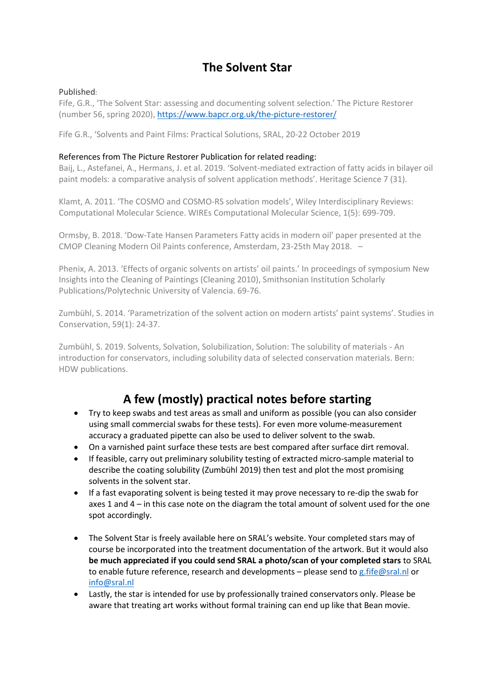# **The Solvent Star**

### Published:

Fife, G.R., 'The Solvent Star: assessing and documenting solvent selection.' The Picture Restorer (number 56, spring 2020),<https://www.bapcr.org.uk/the-picture-restorer/>

Fife G.R., 'Solvents and Paint Films: Practical Solutions, SRAL, 20-22 October 2019

### References from The Picture Restorer Publication for related reading:

Baij, L., Astefanei, A., Hermans, J. et al. 2019. 'Solvent-mediated extraction of fatty acids in bilayer oil paint models: a comparative analysis of solvent application methods'. Heritage Science 7 (31).

Klamt, A. 2011. 'The COSMO and COSMO-RS solvation models', Wiley Interdisciplinary Reviews: Computational Molecular Science. WIREs Computational Molecular Science, 1(5): 699-709.

Ormsby, B. 2018. 'Dow-Tate Hansen Parameters Fatty acids in modern oil' paper presented at the CMOP Cleaning Modern Oil Paints conference, Amsterdam, 23-25th May 2018. –

Phenix, A. 2013. 'Effects of organic solvents on artists' oil paints.' In proceedings of symposium New Insights into the Cleaning of Paintings (Cleaning 2010), Smithsonian Institution Scholarly Publications/Polytechnic University of Valencia. 69-76.

Zumbühl, S. 2014. 'Parametrization of the solvent action on modern artists' paint systems'. Studies in Conservation, 59(1): 24-37.

Zumbühl, S. 2019. Solvents, Solvation, Solubilization, Solution: The solubility of materials - An introduction for conservators, including solubility data of selected conservation materials. Bern: HDW publications.

# **A few (mostly) practical notes before starting**

- Try to keep swabs and test areas as small and uniform as possible (you can also consider using small commercial swabs for these tests). For even more volume-measurement accuracy a graduated pipette can also be used to deliver solvent to the swab.
- On a varnished paint surface these tests are best compared after surface dirt removal.
- If feasible, carry out preliminary solubility testing of extracted micro-sample material to describe the coating solubility (Zumbühl 2019) then test and plot the most promising solvents in the solvent star.
- If a fast evaporating solvent is being tested it may prove necessary to re-dip the swab for axes 1 and 4 – in this case note on the diagram the total amount of solvent used for the one spot accordingly.
- The Solvent Star is freely available here on SRAL's website. Your completed stars may of course be incorporated into the treatment documentation of the artwork. But it would also **be much appreciated if you could send SRAL a photo/scan of your completed stars** to SRAL to enable future reference, research and developments – please send to [g.fife@sral.nl](mailto:g.fife@sral.nl) or info@sral.nl
- Lastly, the star is intended for use by professionally trained conservators only. Please be aware that treating art works without formal training can end up like that Bean movie.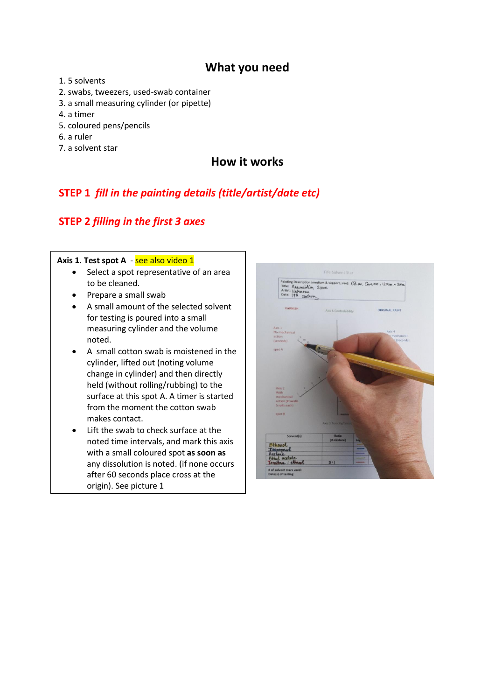## **What you need**

- 1. 5 solvents
- 2. swabs, tweezers, used-swab container
- 3. a small measuring cylinder (or pipette)
- 4. a timer
- 5. coloured pens/pencils
- 6. a ruler
- 7. a solvent star

## **How it works**

# **STEP 1** *fill in the painting details (title/artist/date etc)*

## **STEP 2** *filling in the first 3 axes*

#### Axis 1. Test spot A - see also video 1

- Select a spot representative of an area to be cleaned.
- Prepare a small swab
- A small amount of the selected solvent for testing is poured into a small measuring cylinder and the volume noted.
- A small cotton swab is moistened in the cylinder, lifted out (noting volume change in cylinder) and then directly held (without rolling/rubbing) to the surface at this spot A. A timer is started from the moment the cotton swab makes contact.
- Lift the swab to check surface at the noted time intervals, and mark this axis with a small coloured spot **as soon as** any dissolution is noted. (if none occurs after 60 seconds place cross at the origin). See picture 1

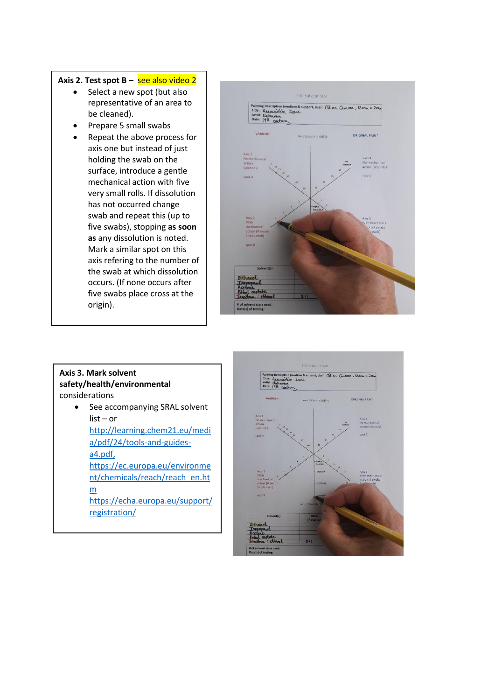#### Axis 2. Test spot B – see also video 2

- Select a new spot (but also representative of an area to be cleaned).
- Prepare 5 small swabs
- Repeat the above process for axis one but instead of just holding the swab on the surface, introduce a gentle mechanical action with five very small rolls. If dissolution has not occurred change swab and repeat this (up to five swabs), stopping **as soon as** any dissolution is noted. Mark a similar spot on this axis refering to the number of the swab at which dissolution occurs. (If none occurs after five swabs place cross at the origin).



### **Axis 3. Mark solvent safety/health/environmental** considerations

• See accompanying SRAL solvent list – or [http://learning.chem21.eu/medi](http://learning.chem21.eu/media/pdf/24/tools-and-guides-a4.pdf) [a/pdf/24/tools-and-guides](http://learning.chem21.eu/media/pdf/24/tools-and-guides-a4.pdf)[a4.pdf,](http://learning.chem21.eu/media/pdf/24/tools-and-guides-a4.pdf) [https://ec.europa.eu/environme](https://ec.europa.eu/environment/chemicals/reach/reach_en.htm) [nt/chemicals/reach/reach\\_en.ht](https://ec.europa.eu/environment/chemicals/reach/reach_en.htm) [m](https://ec.europa.eu/environment/chemicals/reach/reach_en.htm) https://echa.europa.eu/support/ registration/

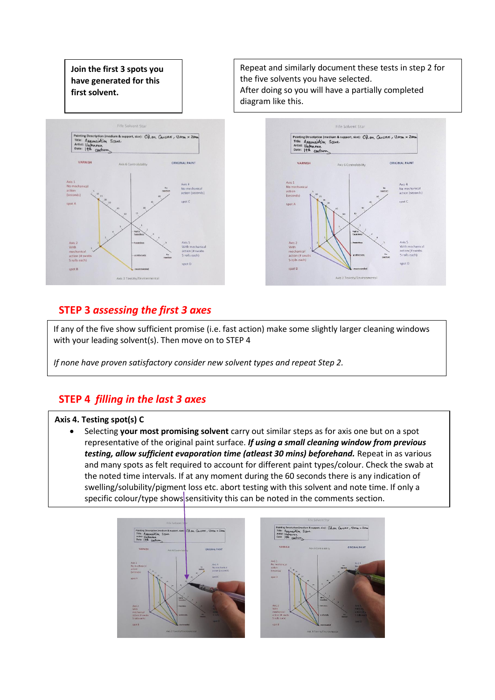**Join the first 3 spots you have generated for this first solvent.**



Repeat and similarly document these tests in step 2 for the five solvents you have selected. After doing so you will have a partially completed diagram like this.



## **STEP 3** *assessing the first 3 axes*

If any of the five show sufficient promise (i.e. fast action) make some slightly larger cleaning windows with your leading solvent(s). Then move on to STEP 4

*If none have proven satisfactory consider new solvent types and repeat Step 2.* 

## **STEP 4** *filling in the last 3 axes*

### **Axis 4. Testing spot(s) C**

• Selecting **your most promising solvent** carry out similar steps as for axis one but on a spot representative of the original paint surface. *If using a small cleaning window from previous testing, allow sufficient evaporation time (atleast 30 mins) beforehand.* Repeat in as various and many spots as felt required to account for different paint types/colour. Check the swab at the noted time intervals. If at any moment during the 60 seconds there is any indication of swelling/solubility/pigment loss etc. abort testing with this solvent and note time. If only a specific colour/type shows sensitivity this can be noted in the comments section.

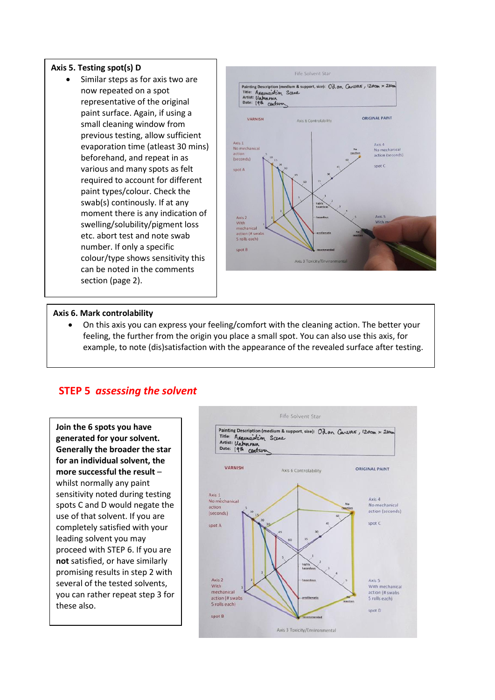#### **Axis 5. Testing spot(s) D**

• Similar steps as for axis two are now repeated on a spot representative of the original paint surface. Again, if using a small cleaning window from previous testing, allow sufficient evaporation time (atleast 30 mins) beforehand, and repeat in as various and many spots as felt required to account for different paint types/colour. Check the swab(s) continously. If at any moment there is any indication of swelling/solubility/pigment loss etc. abort test and note swab number. If only a specific colour/type shows sensitivity this can be noted in the comments section (page 2).



#### **Axis 6. Mark controlability**

• On this axis you can express your feeling/comfort with the cleaning action. The better your feeling, the further from the origin you place a small spot. You can also use this axis, for example, to note (dis)satisfaction with the appearance of the revealed surface after testing.

### **STEP 5** *assessing the solvent*

**Join the 6 spots you have generated for your solvent. Generally the broader the star for an individual solvent, the more successful the result** – whilst normally any paint sensitivity noted during testing spots C and D would negate the use of that solvent. If you are completely satisfied with your leading solvent you may proceed with STEP 6. If you are **not** satisfied, or have similarly promising results in step 2 with several of the tested solvents, you can rather repeat step 3 for these also.